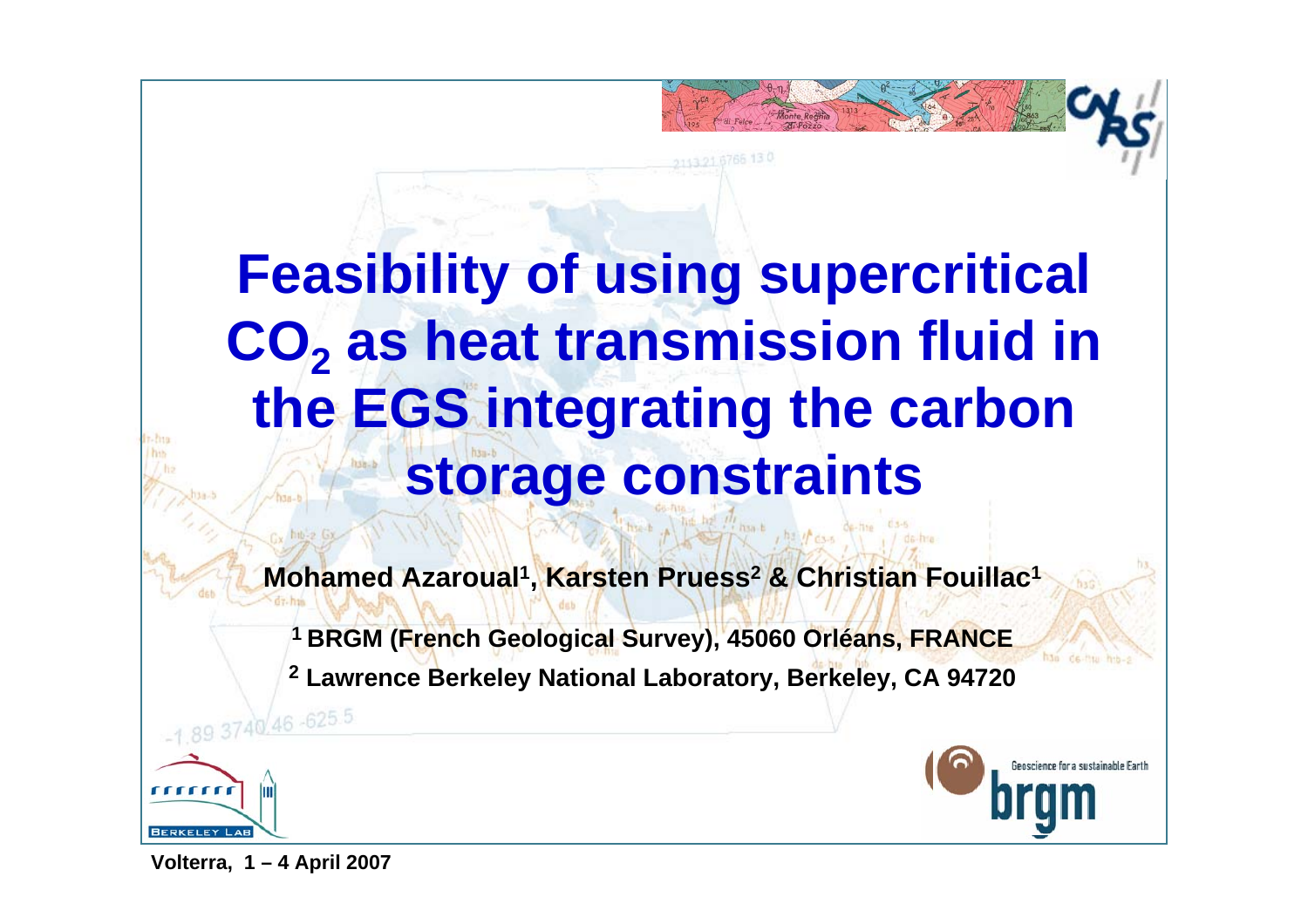# **Feasibility of using supercritical CO<sub>2</sub> as heat transmission fluid in the EGS integrating the carbon storage constraints**

**Mohamed Azaroual1, Karsten Pruess2 & Christian Fouillac1**

**1 BRGM (French Geological Survey), 45060 Orléans, FRANCE**

**2 Lawrence Berkeley National Laboratory, Berkeley, CA 94720**

1.89 3740 46 - 625 5



**Volterra, 1 – 4 April 2007**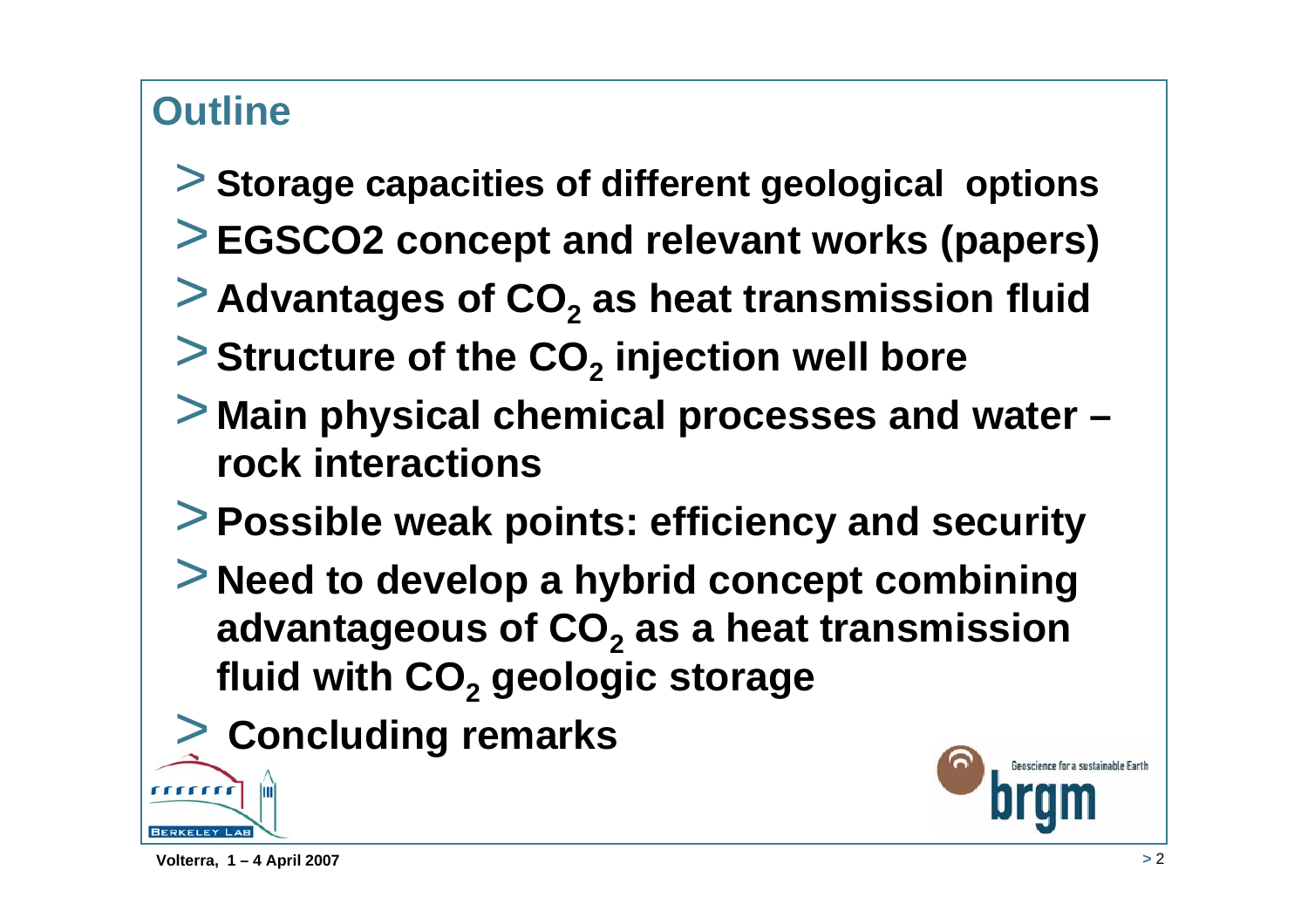## **Outline**

- > **Storage capacities of different geological options**
- >**EGSCO2 concept and relevant works (papers)**
- **> Advantages of CO<sub>2</sub> as heat transmission fluid**
- $>$  Structure of the CO<sub>2</sub> injection well bore
- > **Main physical chemical processes and water – rock interactions**
- >**Possible weak points: efficiency and security**
- > **Need to develop a hybrid concept combining advantageous of CO<sub>2</sub> as a heat transmission fluid with CO2 geologic storage**
- > **Concluding remarks**

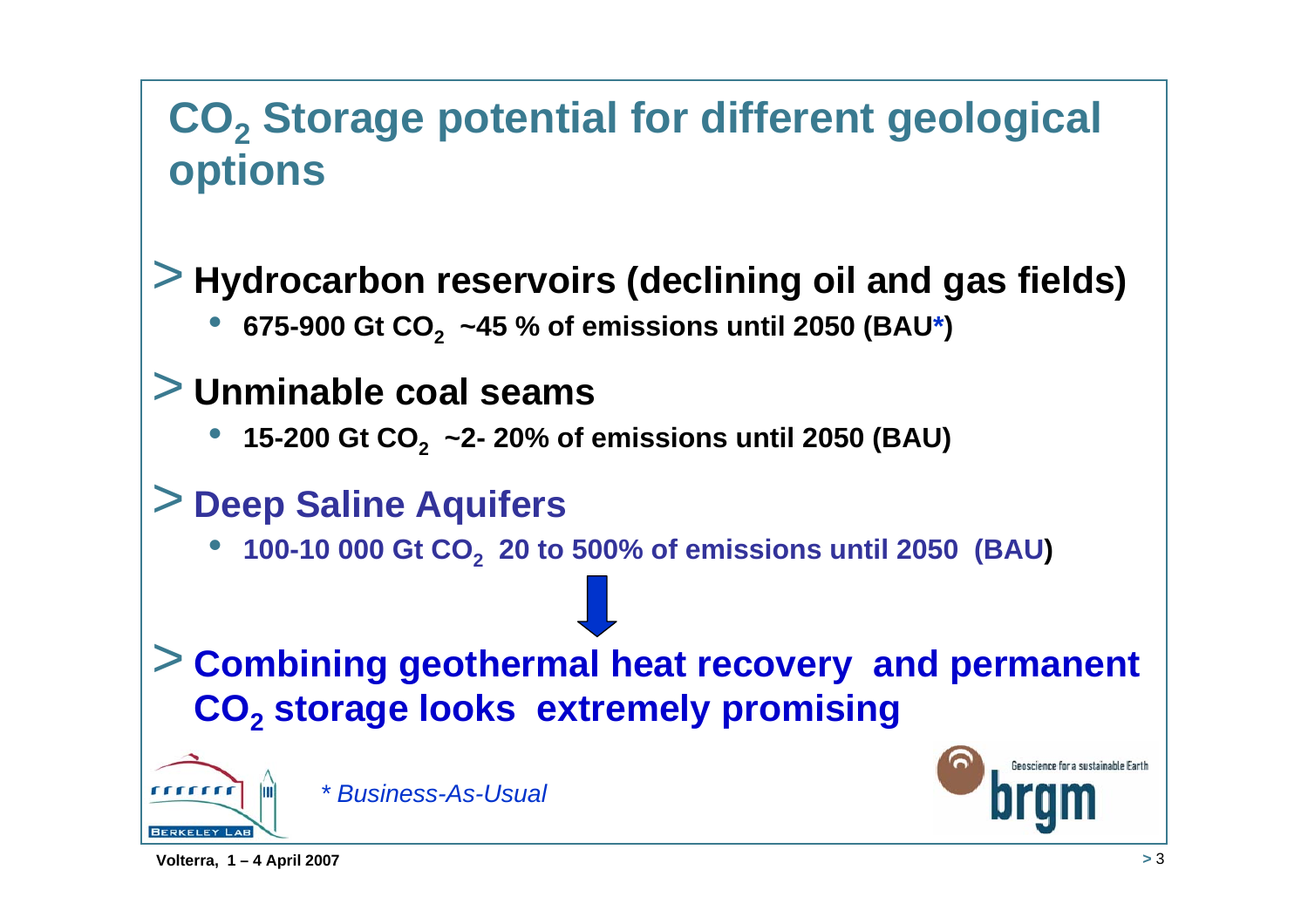## **CO2 Storage potential for different geological options**

## > **Hydrocarbon reservoirs (declining oil and gas fields)**

•**675-900 Gt CO2 ~45 % of emissions until 2050 (BAU\*)**

### > **Unminable coal seams**

•**15-200 Gt CO2 ~2- 20% of emissions until 2050 (BAU)**

### > **Deep Saline Aquifers**

•**100-10 000 Gt CO2 20 to 500% of emissions until 2050 (BAU)**

### > **Combining geothermal heat recovery and permanent CO2 storage looks extremely promising**



*\* Business-As-Usual*

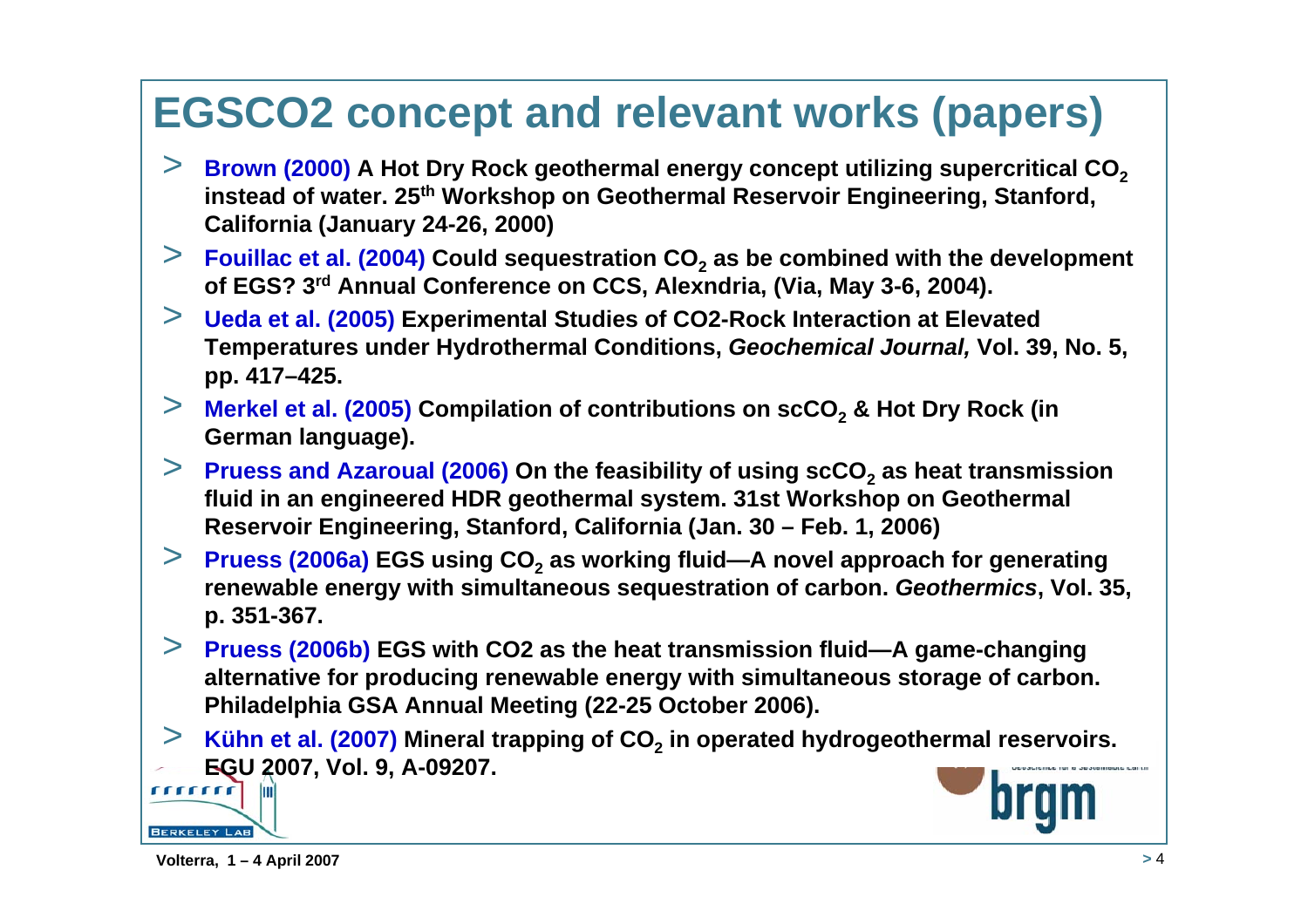## **EGSCO2 concept and relevant works (papers)**

- $\ge$  **Brown (2000)** A Hot Dry Rock geothermal energy concept utilizing supercritical CO<sub>2</sub> **instead of water. 25th Workshop on Geothermal Reservoir Engineering, Stanford, California (January 24-26, 2000)**
- $>$  **Fouillac** et al. (2004) Could sequestration CO<sub>2</sub> as be combined with the development **of EGS? 3rd Annual Conference on CCS, Alexndria, (Via, May 3-6, 2004).**
- > **Ueda et al. (2005) Experimental Studies of CO2-Rock Interaction at Elevated Temperatures under Hydrothermal Conditions,** *Geochemical Journal,* **Vol. 39, No. 5, pp. 417–425.**
- $>$  **Merkel et al. (2005) Compilation of contributions on scCO<sub>2</sub> & Hot Dry Rock (in German language).**
- $>$  **Pruess and Azaroual (2006)** On the feasibility of using scCO<sub>2</sub> as heat transmission **fluid in an engineered HDR geothermal system. 31st Workshop on Geothermal Reservoir Engineering, Stanford, California (Jan. 30 – Feb. 1, 2006)**
- $>$  **Pruess (2006a) EGS** using CO<sub>2</sub> as working fluid—A novel approach for generating **renewable energy with simultaneous sequestration of carbon.** *Geothermics***, Vol. 35, p. 351-367.**
- > **Pruess (2006b) EGS with CO2 as the heat transmission fluid—A game-changing alternative for producing renewable energy with simultaneous storage of carbon. Philadelphia GSA Annual Meeting (22-25 October 2006).**
- $>$  Kühn et al. (2007) Mineral trapping of CO<sub>2</sub> in operated hydrogeothermal reservoirs. **EGU 2007, Vol. 9, A-09207.** rrrrrrr

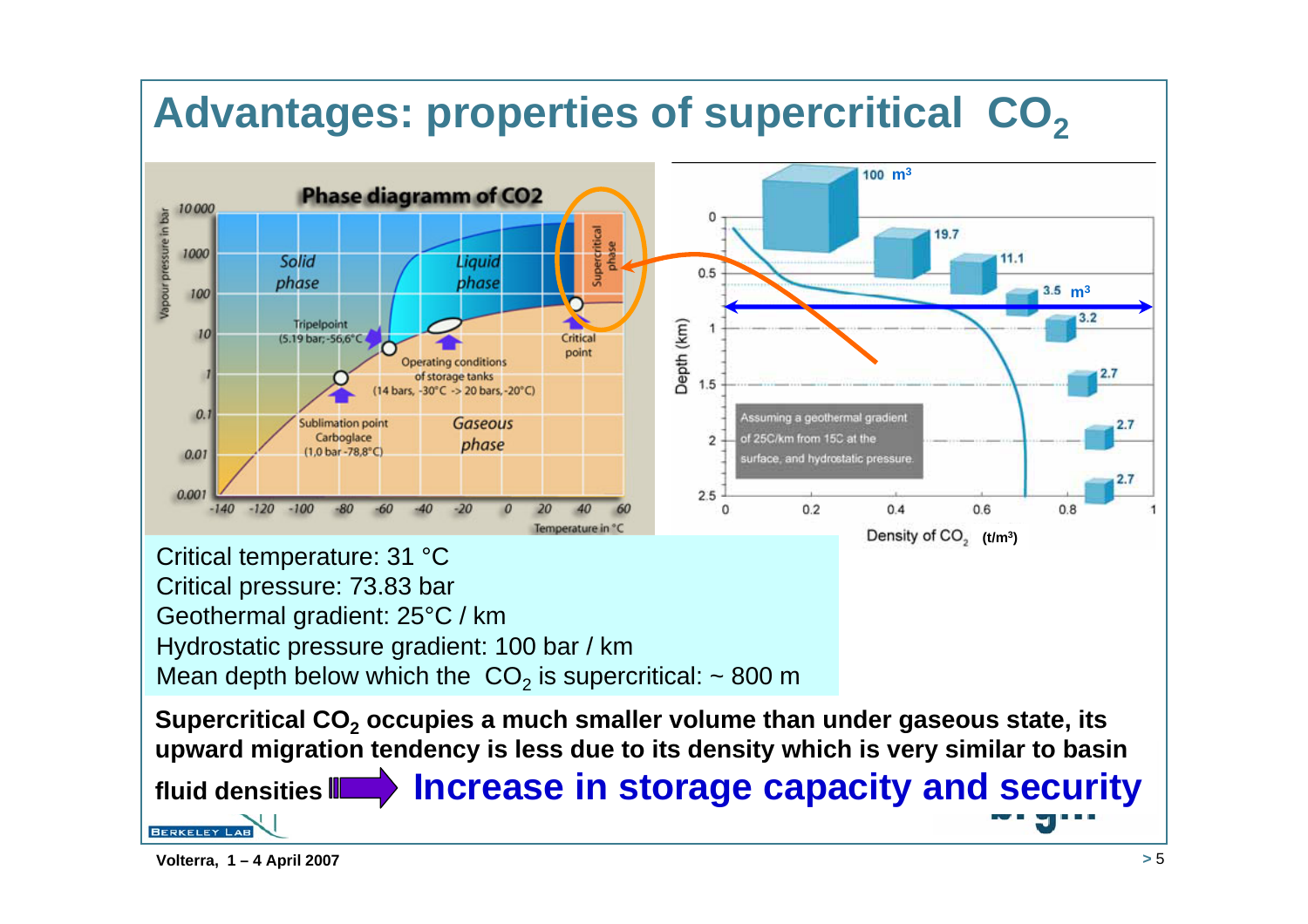## Advantages: properties of supercritical CO<sub>2</sub>



Hydrostatic pressure gradient: 100 bar / km

Mean depth below which the  $\mathsf{CO}_2$  is supercritical: ~ 800 m

**Supercritical CO2 occupies a much smaller volume than under gaseous state, its upward migration tendency is less due to its density which is very similar to basin** 

 **Increase in storage capacity and security fluid densitiesBERKELEY LAB**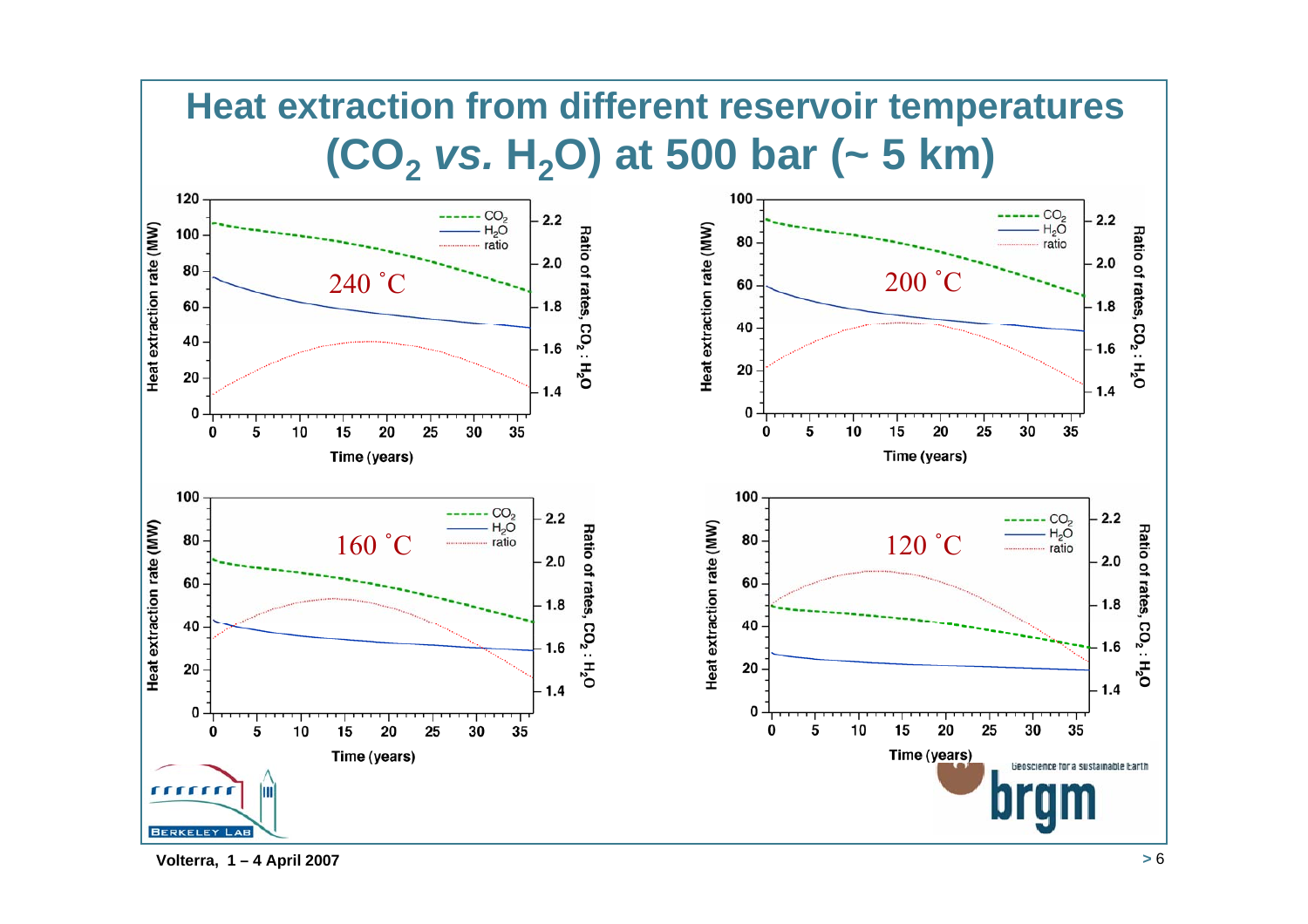## **Heat extraction from different reservoir temperatures (CO2** *vs.* **H2O) at 500 bar (~ 5 km)**



**Volterra, 1 – 4 April 2007 <sup>&</sup>gt;** 6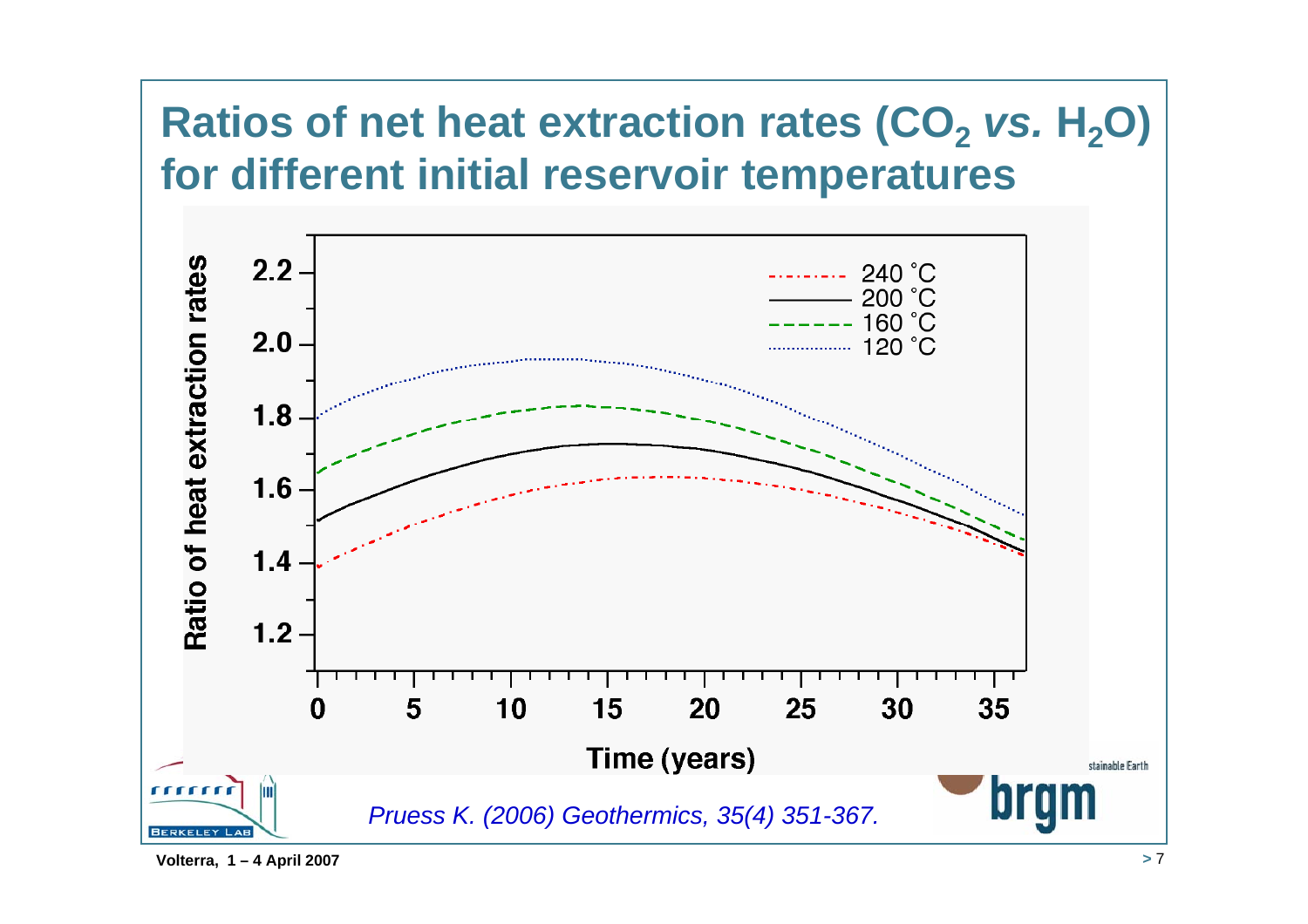## **Ratios of net heat extraction rates (CO<sub>2</sub>** *vs.* **H<sub>2</sub>O) for different initial reservoir temperatures**

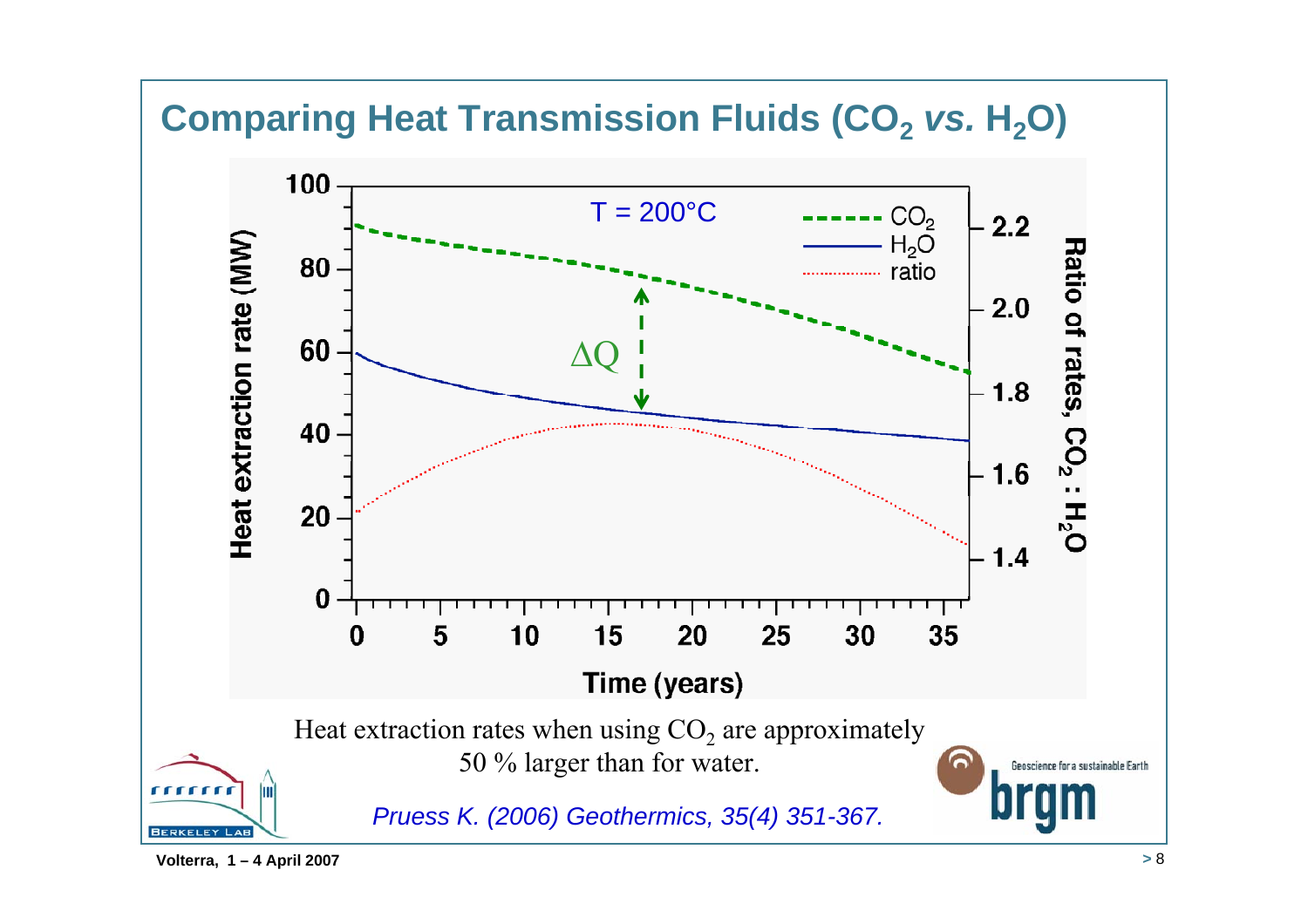### **Comparing Heat Transmission Fluids (CO2** *vs.* **H2O)**

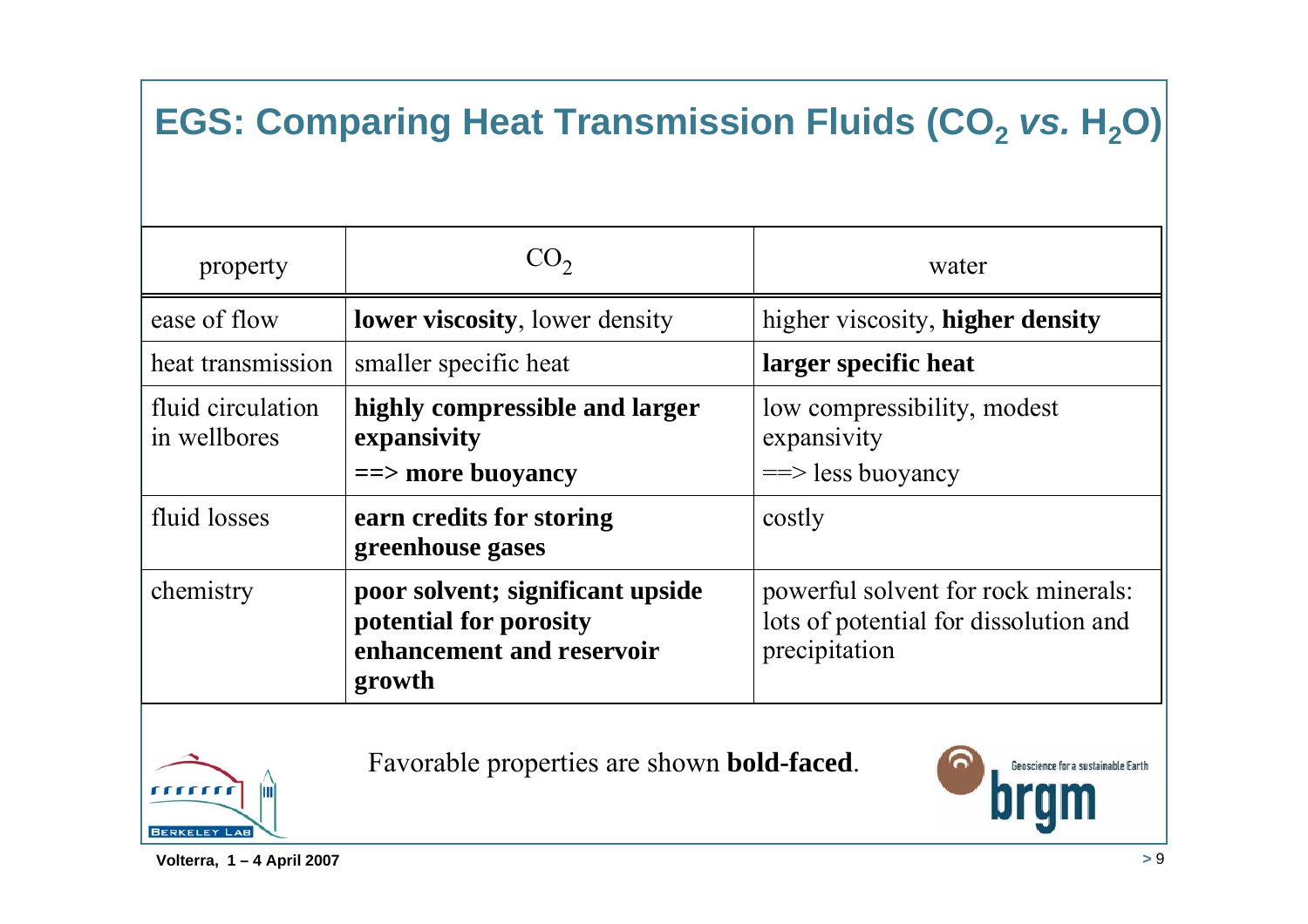## **EGS: Comparing Heat Transmission Fluids (CO<sub>2</sub>** *vs.* **H<sub>2</sub>O)**

| property                          | $CO_{2}$                                                                                          | water                                                                                         |
|-----------------------------------|---------------------------------------------------------------------------------------------------|-----------------------------------------------------------------------------------------------|
| ease of flow                      | <b>lower viscosity</b> , lower density                                                            | higher viscosity, higher density                                                              |
| heat transmission                 | smaller specific heat                                                                             | larger specific heat                                                                          |
| fluid circulation<br>in wellbores | highly compressible and larger<br>expansivity<br>$\equiv$ = more buoyancy                         | low compressibility, modest<br>expansivity<br>$\equiv$ less buoyancy                          |
| fluid losses                      | earn credits for storing<br>greenhouse gases                                                      | costly                                                                                        |
| chemistry                         | poor solvent; significant upside<br>potential for porosity<br>enhancement and reservoir<br>growth | powerful solvent for rock minerals:<br>lots of potential for dissolution and<br>precipitation |



Favorable properties are shown **bold-faced**.

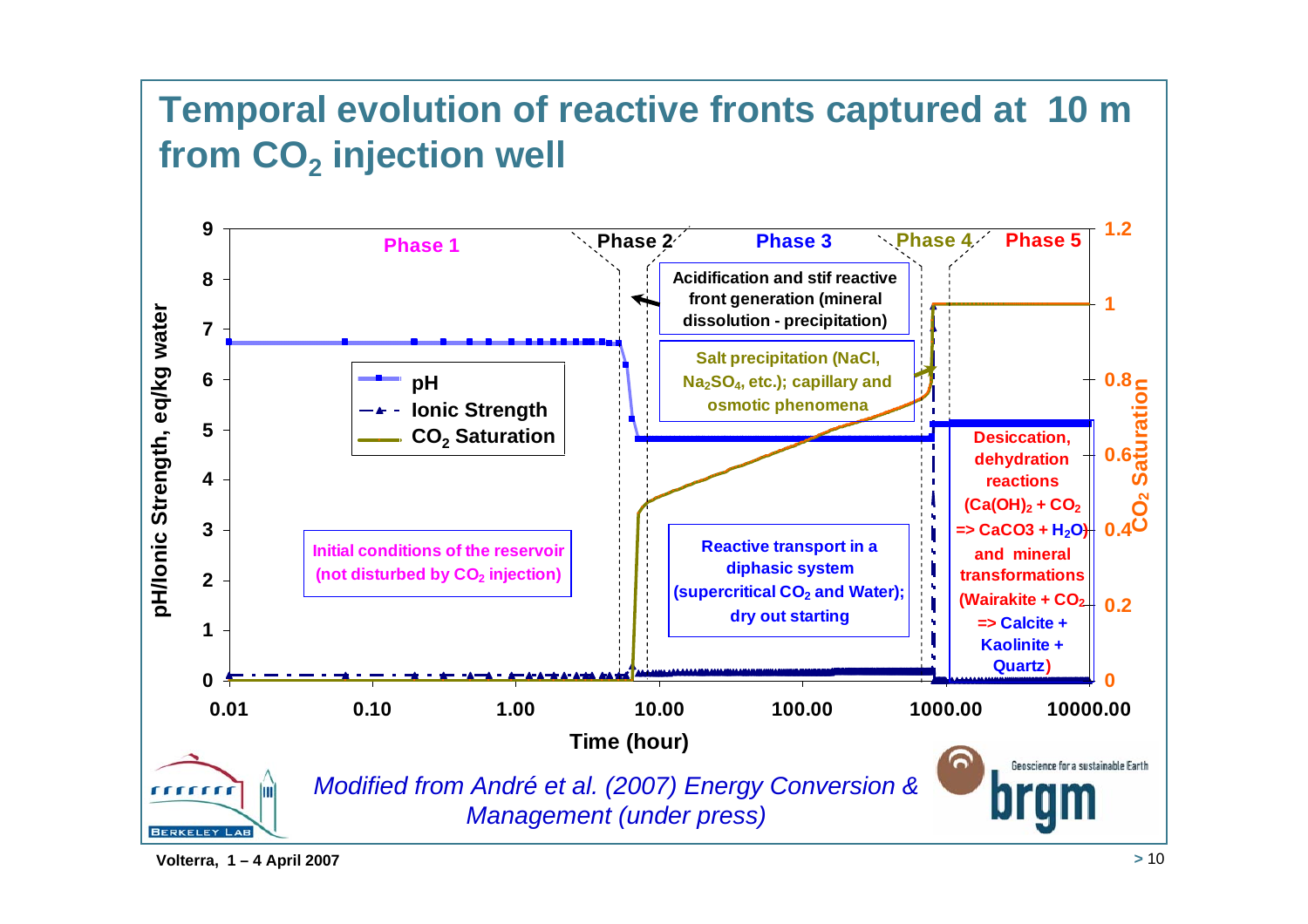### **Temporal evolution of reactive fronts captured at 10 m from CO2 injection well**



**Volterra, 1 – 4 April 2007 <sup>&</sup>gt;** 10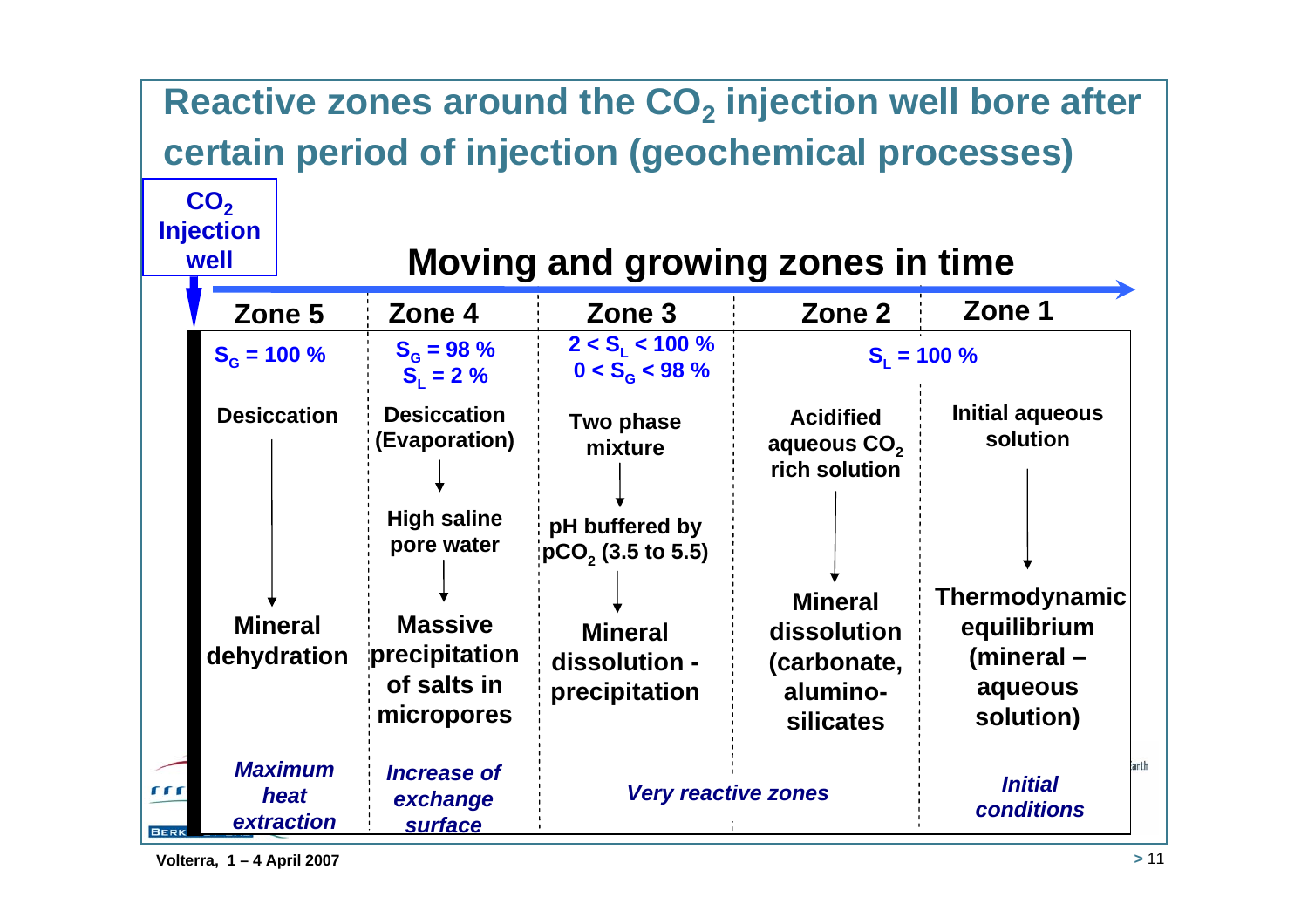#### Reactive zones around the CO<sub>2</sub> injection well bore after **certain period of injection (geochemical processes)** CO<sub>2</sub> **Injection Moving and growing zones in timewell Zone 4 Zone 3 Zone 2 Zone 1 Zone 5** $2 < S_L < 100 \%$  **b**  $S_L = 100 \%$  $S_G = 98\%$   $2 < S_L < 100\%$ <br> $S_L = 2\%$   $0 < S_G < 98\%$  $S_G = 100\%$  **S**<sub>G</sub> = 98 % **S**<sub>L</sub> S<sub>L</sub> S<sub>L</sub> S<sub>L</sub>  $S_1 = 2 \%$ **Initial aqueous DesiccationDesiccation AcidifiedTwo phase solution (Evaporation)** aqueous CO<sub>2</sub> **mixture rich solutionHigh saline pH buffered by pore water pCO2 (3.5 to 5.5) Thermodynamic Mineral Massive Mineral equilibrium Mineral dissolution dehydration precipitation (mineral – dissolution -(carbonate, of salts inaluminoaqueous precipitation micropores solution) silicates**arth *Maximum Increase of Initial*  $000$  *Very reactive zones heat exchange conditionsextractionsurface*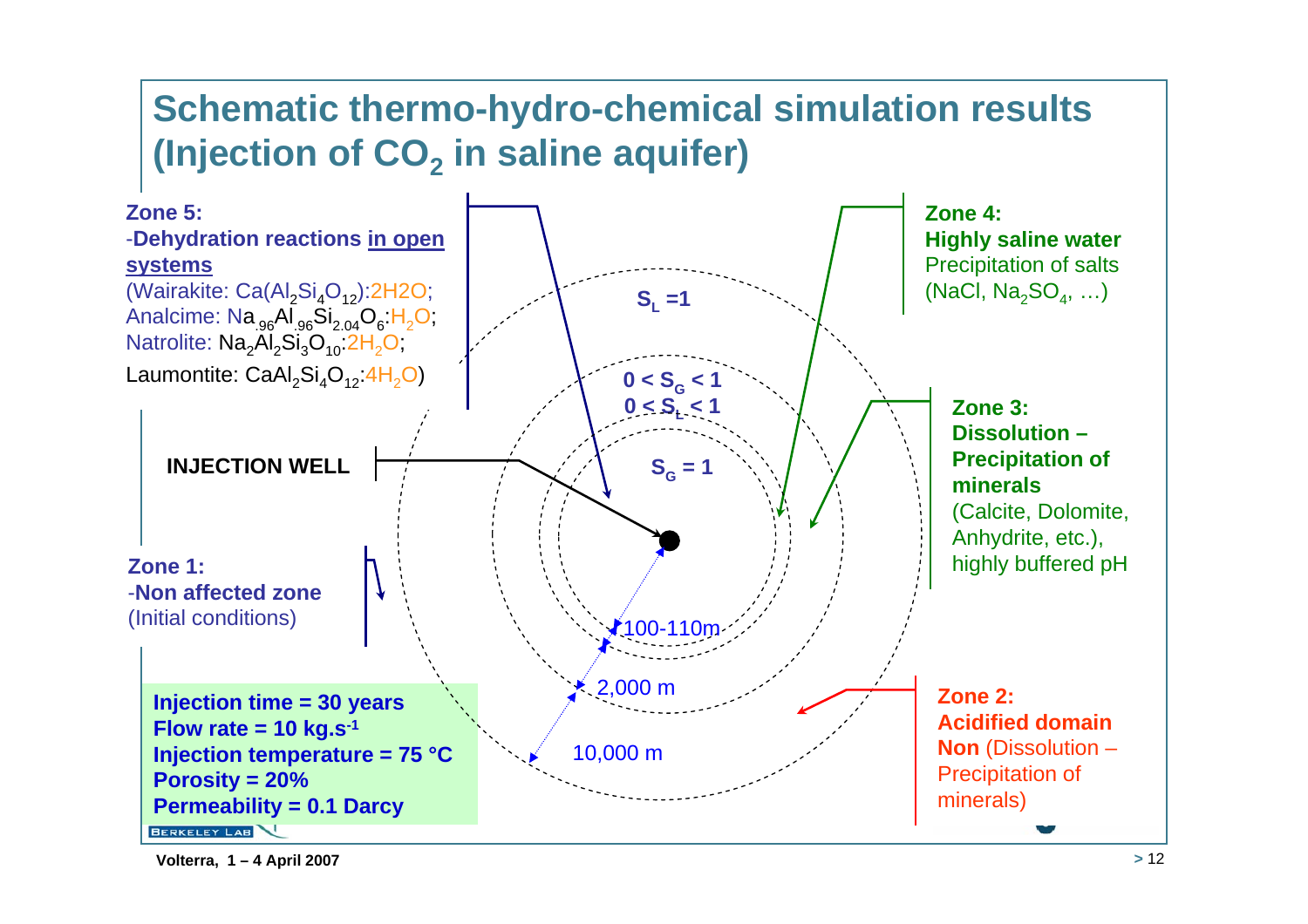### **Schematic thermo-hydro-chemical simulation results**  (Injection of CO<sub>2</sub> in saline aquifer)

![](_page_11_Figure_1.jpeg)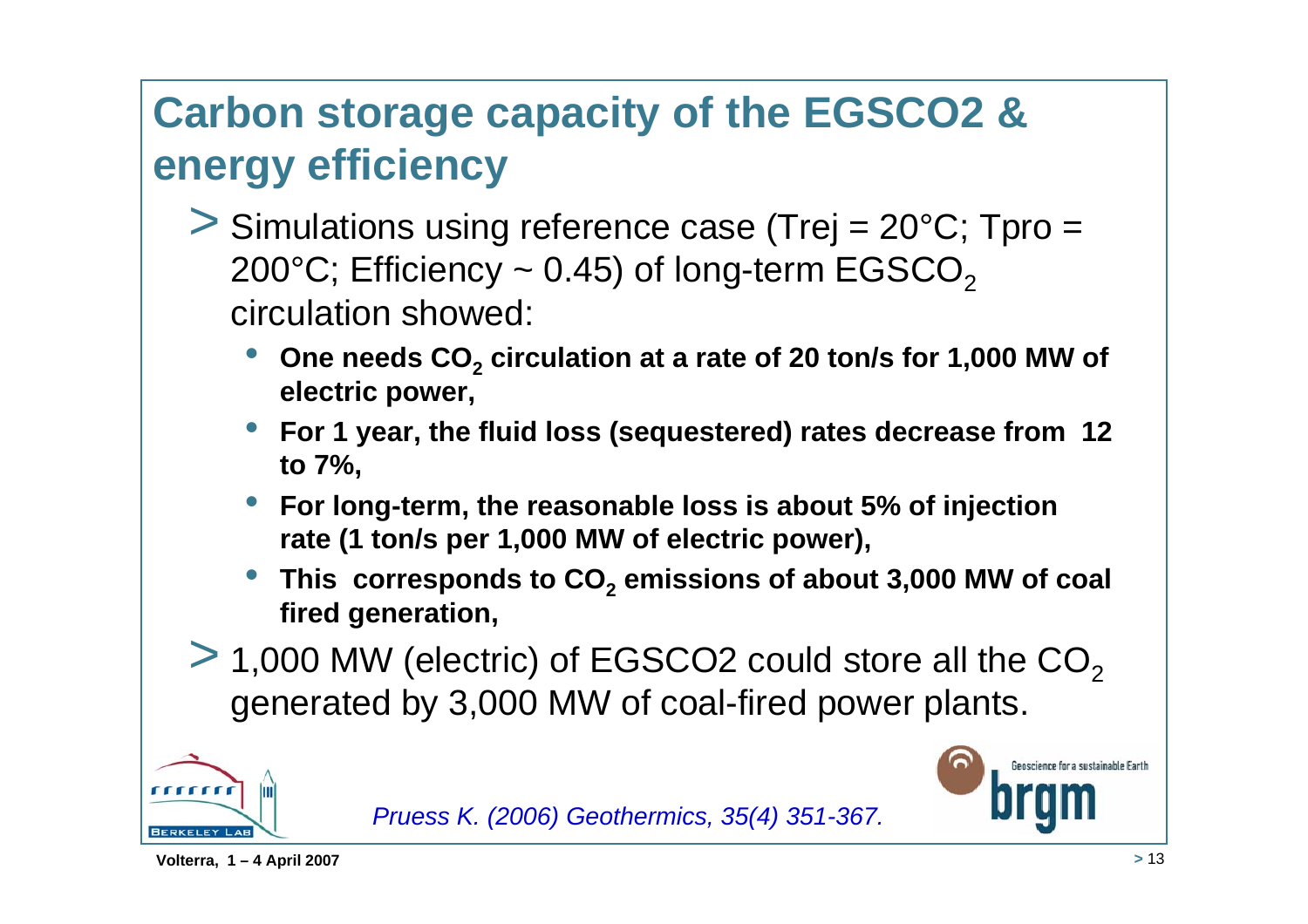## **Carbon storage capacity of the EGSCO2 & energy efficiency**

- > Simulations using reference case (Trej = 20°C; Tpro <sup>=</sup> 200 $^{\circ}$ C; Efficiency  $\sim$  0.45) of long-term EGSCO<sub>2</sub> circulation showed:
	- •**One needs CO<sub>2</sub> circulation at a rate of 20 ton/s for 1,000 MW of electric power,**
	- • **For 1 year, the fluid loss (sequestered) rates decrease from 12 to 7%,**
	- • **For long-term, the reasonable loss is about 5% of injection rate (1 ton/s per 1,000 MW of electric power),**
	- This corresponds to CO<sub>2</sub> emissions of about 3,000 MW of coal **fired generation,**
- $>$  1,000 MW (electric) of EGSCO2 could store all the CO<sub>2</sub> generated by 3,000 MW of coal-fired power plants.

![](_page_12_Picture_7.jpeg)

![](_page_12_Picture_8.jpeg)

![](_page_12_Picture_9.jpeg)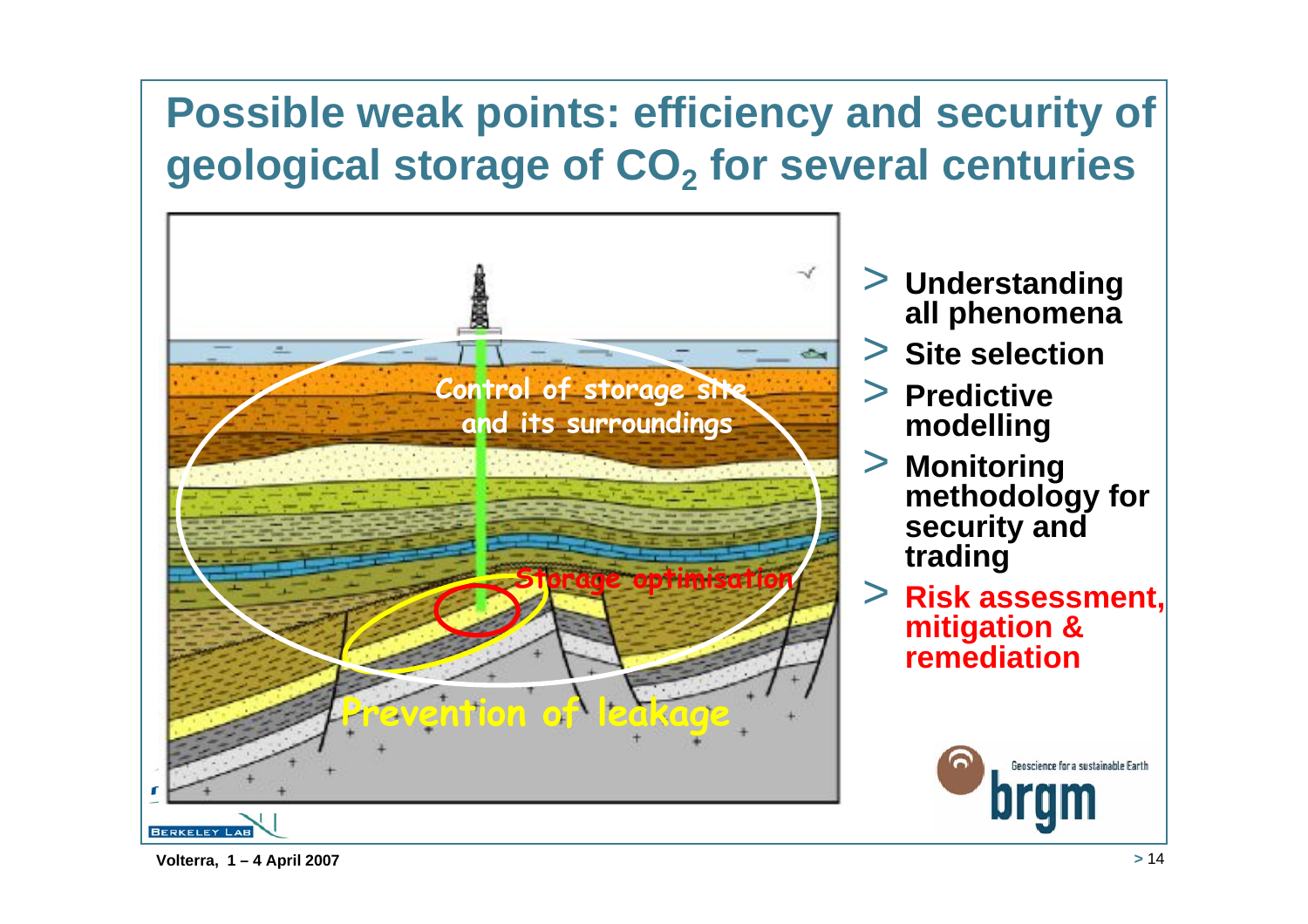## **Possible weak points: efficiency and security of geological storage of CO2 for several centuries**

![](_page_13_Picture_1.jpeg)

- > **Understanding all phenomena**
- > **Site selection**
- > **Predictive modelling**
- > **Monitoring methodology for security and trading**
- > **Risk assessment, mitigation & remediation**

![](_page_13_Picture_7.jpeg)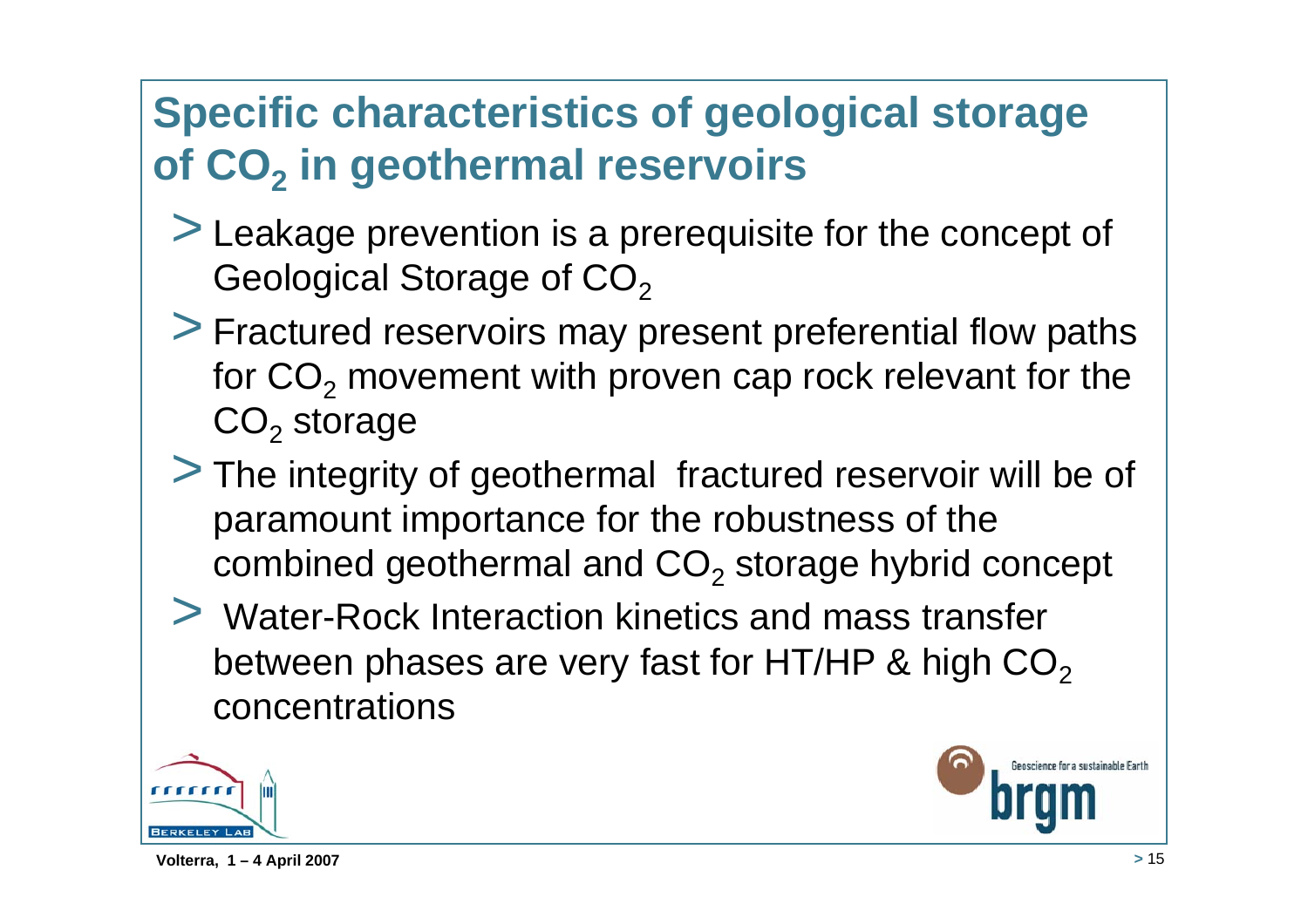## **Specific characteristics of geological storage of CO<sub>2</sub> in geothermal reservoirs**

- > Leakage prevention is a prerequisite for the concept of Geological Storage of CO<sub>2</sub>
- > Fractured reservoirs may present preferential flow paths for  $\mathsf{CO}_2$  movement with proven cap rock relevant for the  $\mathsf{CO}_2$  storage
- > The integrity of geothermal fractured reservoir will be of paramount importance for the robustness of the combined geothermal and  $\mathsf{CO}_2$  storage hybrid concept
- > Water-Rock Interaction kinetics and mass transfer between phases are very fast for HT/HP & high  $CO<sub>2</sub>$ concentrations

![](_page_14_Picture_5.jpeg)

enscience for a sustainable Farth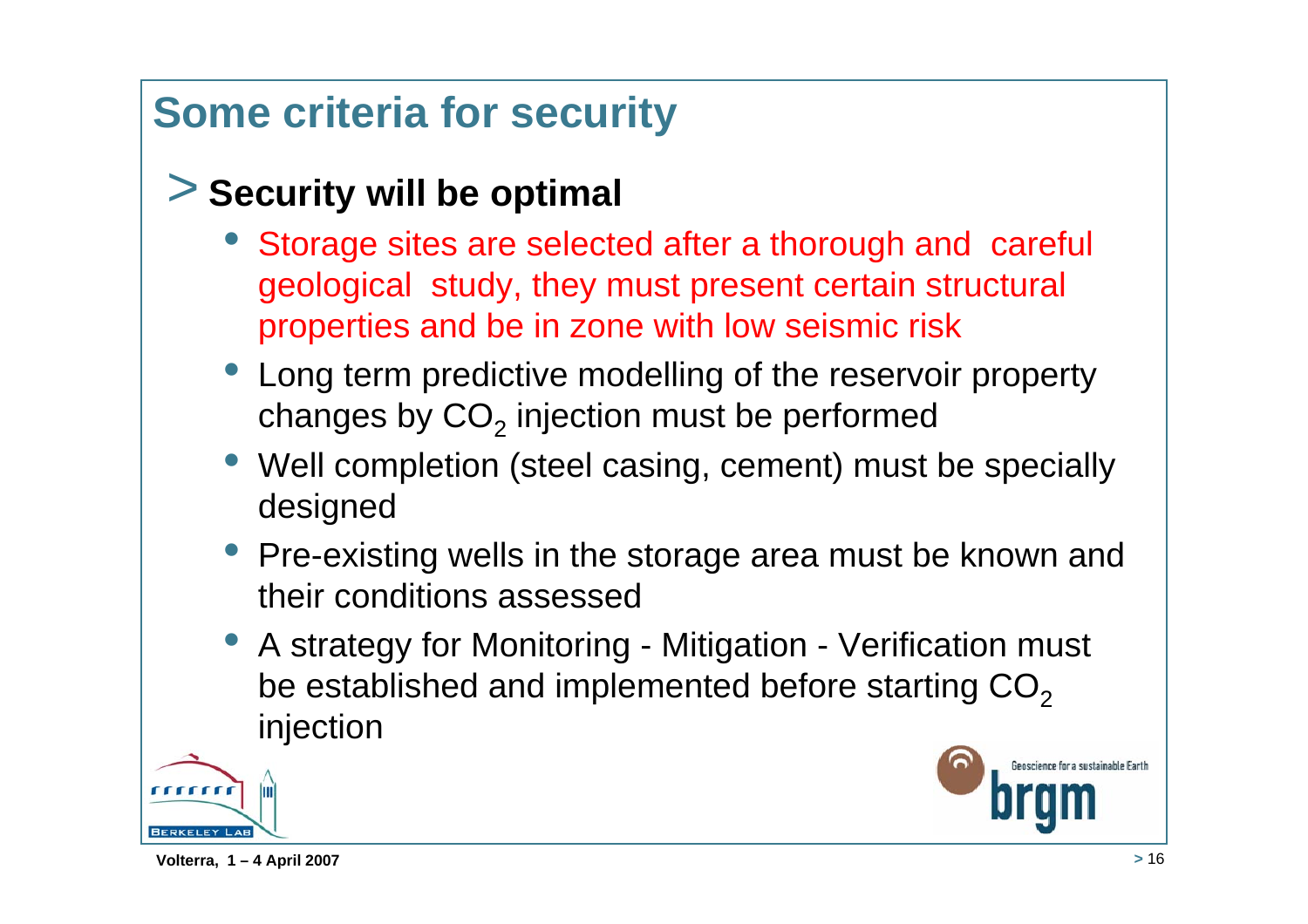## **Some criteria for security**

### > **Security will be optimal**

- Storage sites are selected after a thorough and careful geological study, they must present certain structural properties and be in zone with low seismic risk
- Long term predictive modelling of the reservoir property changes by  $\mathsf{CO}_2$  injection must be performed
- Well completion (steel casing, cement) must be specially designed
- Pre-existing wells in the storage area must be known and their conditions assessed
- A strategy for Monitoring Mitigation Verification must be established and implemented before starting  $CO<sub>2</sub>$ injection

![](_page_15_Picture_7.jpeg)

enscience for a sustainable Farth

**Volterra, 1 – 4 April 2007 <sup>&</sup>gt;** 16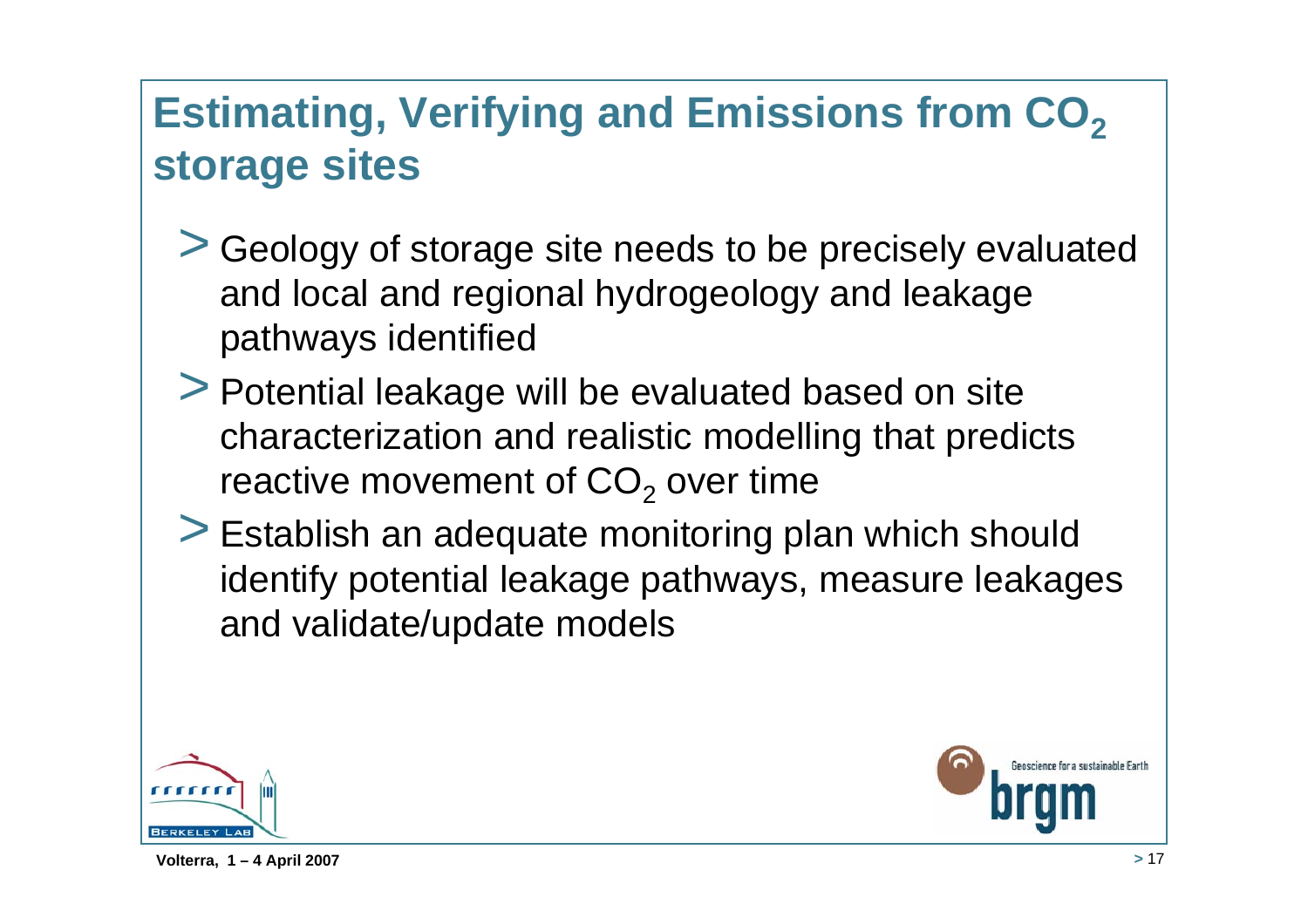## **Estimating, Verifying and Emissions from CO<sub>2</sub> storage sites**

- > Geology of storage site needs to be precisely evaluated and local and regional hydrogeology and leakage pathways identified
- > Potential leakage will be evaluated based on site characterization and realistic modelling that predicts reactive movement of CO $_{\rm 2}$  over time
- > Establish an adequate monitoring plan which should identify potential leakage pathways, measure leakages and validate/update models

![](_page_16_Picture_4.jpeg)

enscience for a sustainable Farth

**Volterra, 1 – 4 April 2007 <sup>&</sup>gt;** 17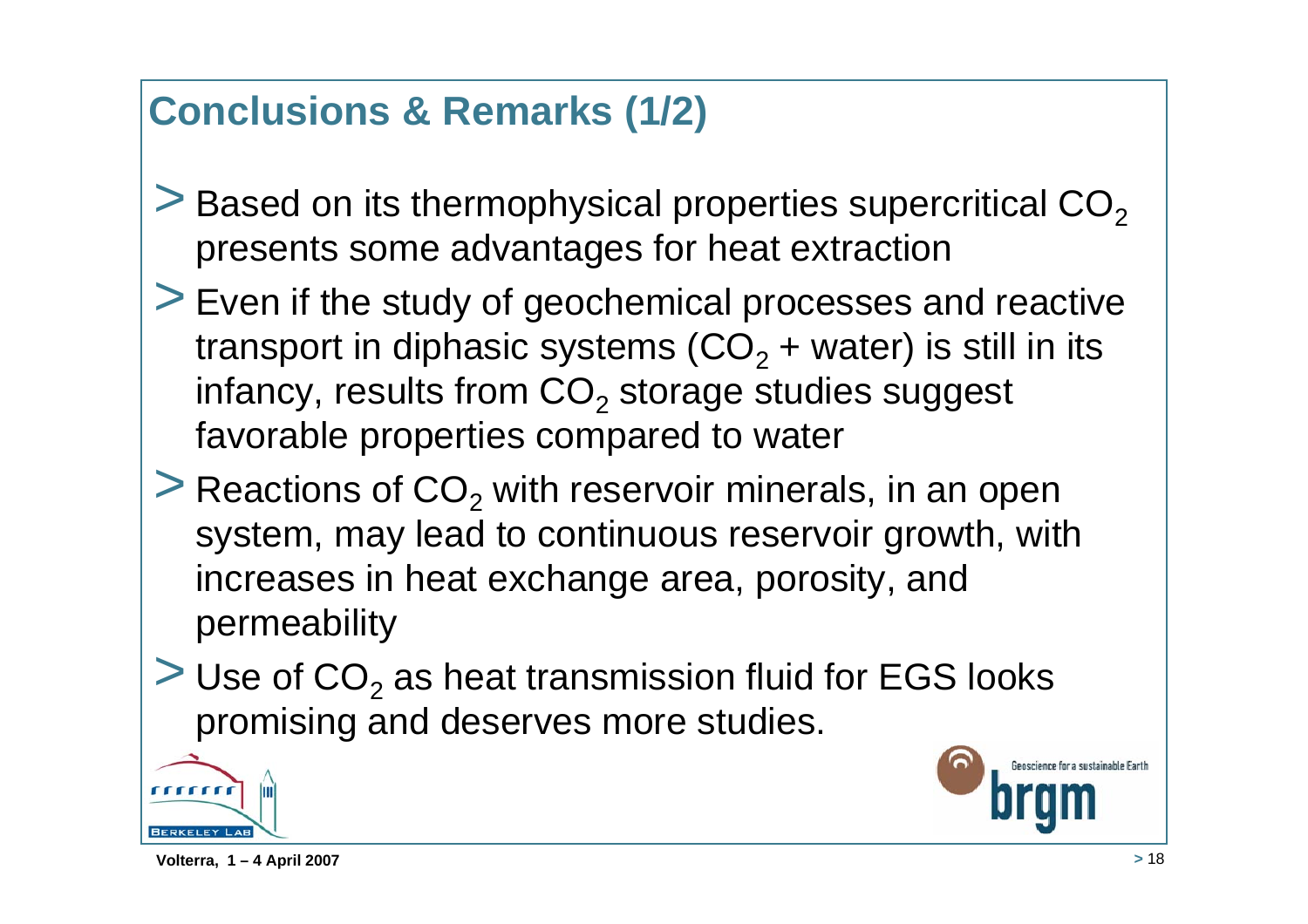## **Conclusions & Remarks (1/2)**

- $>$  Based on its thermophysical properties supercritical CO<sub>2</sub> presents some advantages for heat extraction
- > Even if the study of geochemical processes and reactive transport in diphasic systems (CO $_2$  + water) is still in its infancy, results from CO $_{\rm 2}$  storage studies suggest favorable properties compared to water
- $>$  Reactions of CO<sub>2</sub> with reservoir minerals, in an open system, may lead to continuous reservoir growth, with increases in heat exchange area, porosity, and permeability
- $>$  Use of CO<sub>2</sub> as heat transmission fluid for EGS looks promising and deserves more studies.

![](_page_17_Picture_5.jpeg)

![](_page_17_Picture_7.jpeg)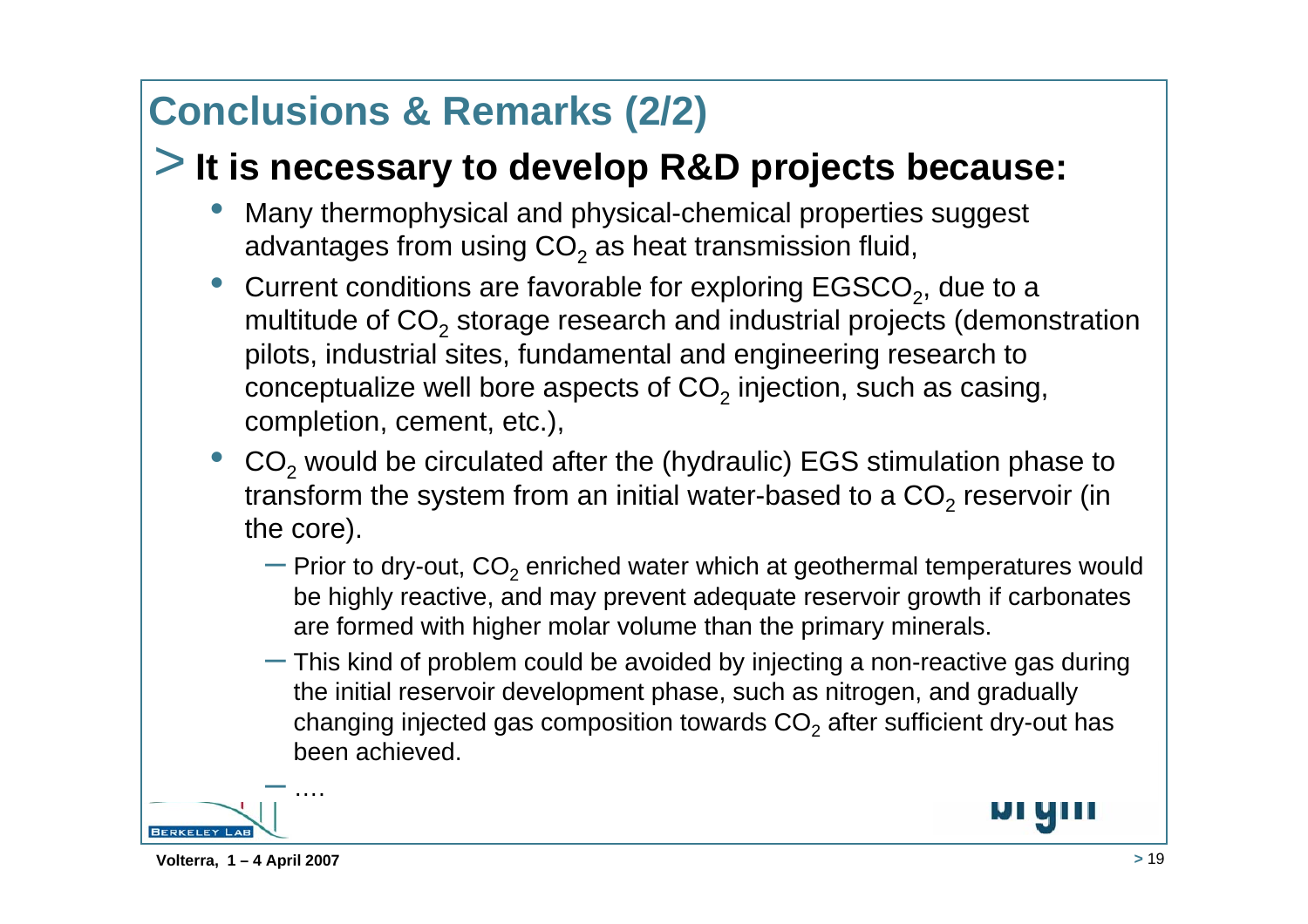## **Conclusions & Remarks (2/2)**

### > **It is necessary to develop R&D projects because:**

- • Many thermophysical and physical-chemical properties suggest advantages from using CO $_2$  as heat transmission fluid,
- •Current conditions are favorable for exploring  $EGSCO<sub>2</sub>$ , due to a multitude of CO $_{\rm 2}$  storage research and industrial projects (demonstration pilots, industrial sites, fundamental and engineering research to conceptualize well bore aspects of CO $_2$  injection, such as casing, completion, cement, etc.),
- • $\bullet$  CO<sub>2</sub> would be circulated after the (hydraulic) EGS stimulation phase to transform the system from an initial water-based to a CO<sub>2</sub> reservoir (in the core).
	- $-$  Prior to dry-out, CO $_{\rm 2}$  enriched water which at geothermal temperatures would be highly reactive, and may prevent adequate reservoir growth if carbonates are formed with higher molar volume than the primary minerals.
	- $-$  This kind of problem could be avoided by injecting a non-reactive gas during the initial reservoir development phase, such as nitrogen, and gradually changing injected gas composition towards CO $_2$  after sufficient dry-out has been achieved.

![](_page_18_Picture_7.jpeg)